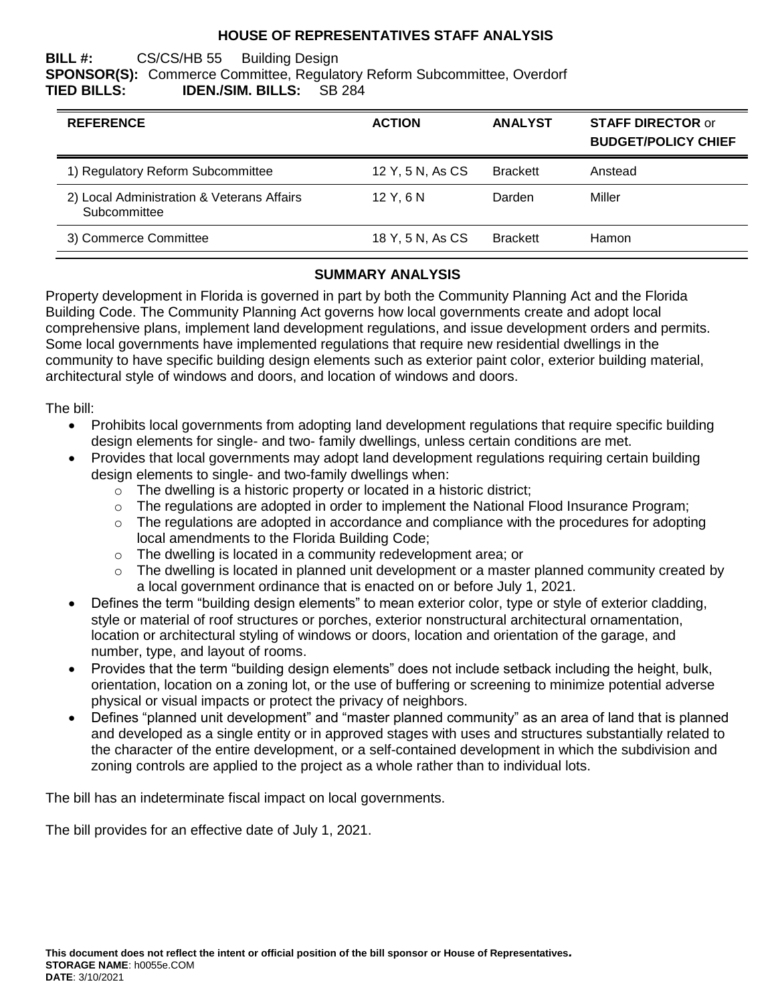# **HOUSE OF REPRESENTATIVES STAFF ANALYSIS**

#### **BILL #:** CS/CS/HB 55 Building Design **SPONSOR(S):** Commerce Committee, Regulatory Reform Subcommittee, Overdorf **TIED BILLS: IDEN./SIM. BILLS:** SB 284

| <b>REFERENCE</b>                                           | <b>ACTION</b>    | <b>ANALYST</b>  | <b>STAFF DIRECTOR or</b><br><b>BUDGET/POLICY CHIEF</b> |
|------------------------------------------------------------|------------------|-----------------|--------------------------------------------------------|
| 1) Regulatory Reform Subcommittee                          | 12 Y, 5 N, As CS | <b>Brackett</b> | Anstead                                                |
| 2) Local Administration & Veterans Affairs<br>Subcommittee | 12Y.6N           | Darden          | Miller                                                 |
| 3) Commerce Committee                                      | 18 Y, 5 N, As CS | <b>Brackett</b> | Hamon                                                  |

# **SUMMARY ANALYSIS**

Property development in Florida is governed in part by both the Community Planning Act and the Florida Building Code. The Community Planning Act governs how local governments create and adopt local comprehensive plans, implement land development regulations, and issue development orders and permits. Some local governments have implemented regulations that require new residential dwellings in the community to have specific building design elements such as exterior paint color, exterior building material, architectural style of windows and doors, and location of windows and doors.

The bill:

- Prohibits local governments from adopting land development regulations that require specific building design elements for single- and two- family dwellings, unless certain conditions are met.
- Provides that local governments may adopt land development regulations requiring certain building design elements to single- and two-family dwellings when:
	- $\circ$  The dwelling is a historic property or located in a historic district:
	- $\circ$  The regulations are adopted in order to implement the National Flood Insurance Program;
	- o The regulations are adopted in accordance and compliance with the procedures for adopting local amendments to the Florida Building Code;
	- o The dwelling is located in a community redevelopment area; or
	- $\circ$  The dwelling is located in planned unit development or a master planned community created by a local government ordinance that is enacted on or before July 1, 2021.
- Defines the term "building design elements" to mean exterior color, type or style of exterior cladding, style or material of roof structures or porches, exterior nonstructural architectural ornamentation, location or architectural styling of windows or doors, location and orientation of the garage, and number, type, and layout of rooms.
- Provides that the term "building design elements" does not include setback including the height, bulk, orientation, location on a zoning lot, or the use of buffering or screening to minimize potential adverse physical or visual impacts or protect the privacy of neighbors.
- Defines "planned unit development" and "master planned community" as an area of land that is planned and developed as a single entity or in approved stages with uses and structures substantially related to the character of the entire development, or a self-contained development in which the subdivision and zoning controls are applied to the project as a whole rather than to individual lots.

The bill has an indeterminate fiscal impact on local governments.

The bill provides for an effective date of July 1, 2021.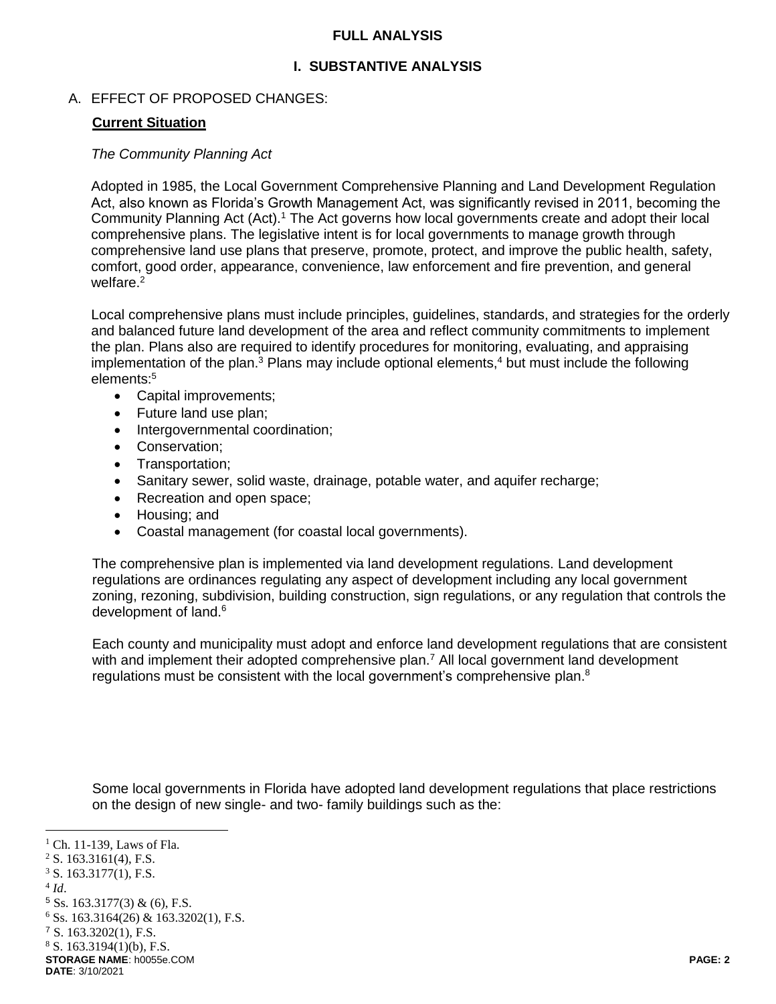### **FULL ANALYSIS**

# **I. SUBSTANTIVE ANALYSIS**

## A. EFFECT OF PROPOSED CHANGES:

### **Current Situation**

#### *The Community Planning Act*

Adopted in 1985, the Local Government Comprehensive Planning and Land Development Regulation Act, also known as Florida's Growth Management Act, was significantly revised in 2011, becoming the Community Planning Act (Act).<sup>1</sup> The Act governs how local governments create and adopt their local comprehensive plans. The legislative intent is for local governments to manage growth through comprehensive land use plans that preserve, promote, protect, and improve the public health, safety, comfort, good order, appearance, convenience, law enforcement and fire prevention, and general welfare.<sup>2</sup>

Local comprehensive plans must include principles, guidelines, standards, and strategies for the orderly and balanced future land development of the area and reflect community commitments to implement the plan. Plans also are required to identify procedures for monitoring, evaluating, and appraising implementation of the plan. $3$  Plans may include optional elements, $4$  but must include the following elements:<sup>5</sup>

- Capital improvements;
- Future land use plan;
- Intergovernmental coordination;
- Conservation;
- Transportation:
- Sanitary sewer, solid waste, drainage, potable water, and aquifer recharge;
- Recreation and open space;
- Housing; and
- Coastal management (for coastal local governments).

The comprehensive plan is implemented via land development regulations. Land development regulations are ordinances regulating any aspect of development including any local government zoning, rezoning, subdivision, building construction, sign regulations, or any regulation that controls the development of land.<sup>6</sup>

Each county and municipality must adopt and enforce land development regulations that are consistent with and implement their adopted comprehensive plan.<sup>7</sup> All local government land development regulations must be consistent with the local government's comprehensive plan. $8$ 

Some local governments in Florida have adopted land development regulations that place restrictions on the design of new single- and two- family buildings such as the:

 $\overline{a}$ 

 $<sup>1</sup>$  Ch. 11-139, Laws of Fla.</sup>

 $2$  S. 163.3161(4), F.S.

 $3$  S. 163.3177(1), F.S.

<sup>4</sup> *Id*.

 $5$  Ss. 163.3177(3) & (6), F.S.

 $6$  Ss. 163.3164(26) & 163.3202(1), F.S.

<sup>7</sup> S. 163.3202(1), F.S.

 $8$  S. 163.3194(1)(b), F.S.

**STORAGE NAME**: h0055e.COM **PAGE: 2 DATE**: 3/10/2021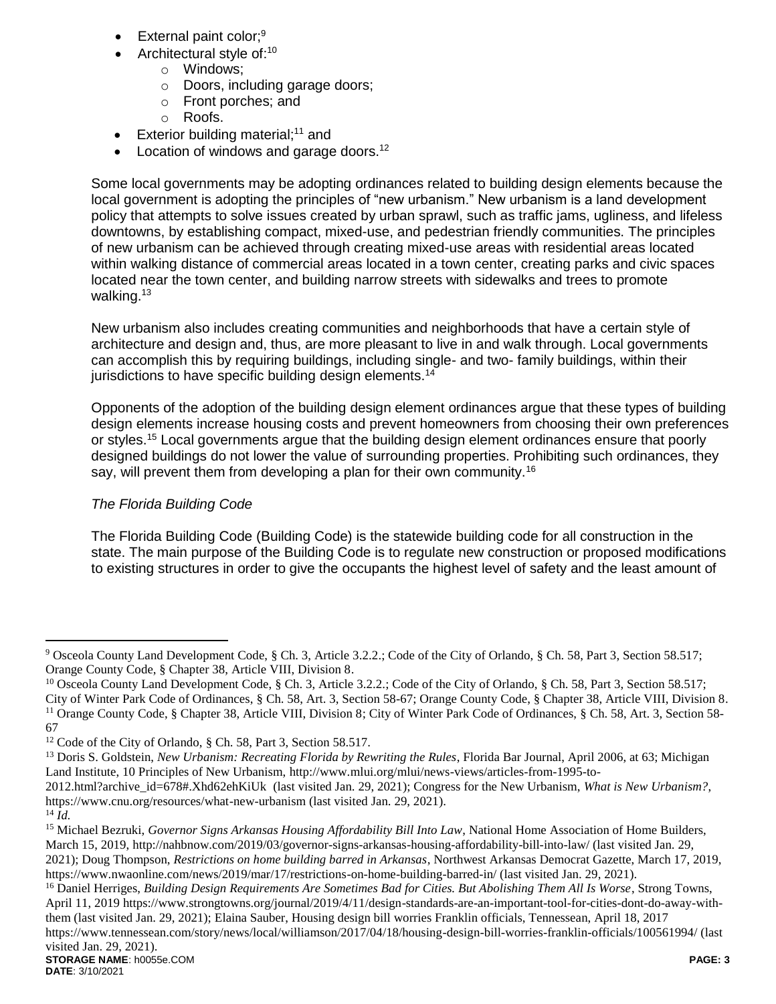- External paint color;<sup>9</sup>
- Architectural style of:<sup>10</sup>
	- o Windows;
	- o Doors, including garage doors;
	- o Front porches; and
	- o Roofs.
- Exterior building material;<sup>11</sup> and
- Location of windows and garage doors.<sup>12</sup>

Some local governments may be adopting ordinances related to building design elements because the local government is adopting the principles of "new urbanism." New urbanism is a land development policy that attempts to solve issues created by urban sprawl, such as traffic jams, ugliness, and lifeless downtowns, by establishing compact, mixed-use, and pedestrian friendly communities. The principles of new urbanism can be achieved through creating mixed-use areas with residential areas located within walking distance of commercial areas located in a town center, creating parks and civic spaces located near the town center, and building narrow streets with sidewalks and trees to promote walking.<sup>13</sup>

New urbanism also includes creating communities and neighborhoods that have a certain style of architecture and design and, thus, are more pleasant to live in and walk through. Local governments can accomplish this by requiring buildings, including single- and two- family buildings, within their jurisdictions to have specific building design elements.<sup>14</sup>

Opponents of the adoption of the building design element ordinances argue that these types of building design elements increase housing costs and prevent homeowners from choosing their own preferences or styles.<sup>15</sup> Local governments argue that the building design element ordinances ensure that poorly designed buildings do not lower the value of surrounding properties. Prohibiting such ordinances, they say, will prevent them from developing a plan for their own community.<sup>16</sup>

# *The Florida Building Code*

The Florida Building Code (Building Code) is the statewide building code for all construction in the state. The main purpose of the Building Code is to regulate new construction or proposed modifications to existing structures in order to give the occupants the highest level of safety and the least amount of

 $\overline{a}$ 

<sup>9</sup> Osceola County Land Development Code, § Ch. 3, Article 3.2.2.; Code of the City of Orlando, § Ch. 58, Part 3, Section 58.517; Orange County Code, § Chapter 38, Article VIII, Division 8.

<sup>&</sup>lt;sup>10</sup> Osceola County Land Development Code, § Ch. 3, Article 3.2.2.; Code of the City of Orlando, § Ch. 58, Part 3, Section 58.517; City of Winter Park Code of Ordinances, § Ch. 58, Art. 3, Section 58-67; Orange County Code, § Chapter 38, Article VIII, Division 8. <sup>11</sup> Orange County Code, § Chapter 38, Article VIII, Division 8; City of Winter Park Code of Ordinances, § Ch. 58, Art. 3, Section 58-67

<sup>12</sup> Code of the City of Orlando, § Ch. 58, Part 3, Section 58.517.

<sup>&</sup>lt;sup>13</sup> Doris S. Goldstein, *New Urbanism: Recreating Florida by Rewriting the Rules*, Florida Bar Journal, April 2006, at 63; Michigan Land Institute, 10 Principles of New Urbanism, http://www.mlui.org/mlui/news-views/articles-from-1995-to-

<sup>2012.</sup>html?archive\_id=678#.Xhd62ehKiUk (last visited Jan. 29, 2021); Congress for the New Urbanism, *What is New Urbanism?*, https://www.cnu.org/resources/what-new-urbanism (last visited Jan. 29, 2021).

 $^{14}$  $\tilde{I}$ *d*.

<sup>15</sup> Michael Bezruki, *Governor Signs Arkansas Housing Affordability Bill Into Law*, National Home Association of Home Builders, March 15, 2019, http://nahbnow.com/2019/03/governor-signs-arkansas-housing-affordability-bill-into-law/ (last visited Jan. 29, 2021); Doug Thompson, *Restrictions on home building barred in Arkansas*, Northwest Arkansas Democrat Gazette, March 17, 2019, https://www.nwaonline.com/news/2019/mar/17/restrictions-on-home-building-barred-in/ (last visited Jan. 29, 2021).

**STORAGE NAME**: h0055e.COM **PAGE: 3** <sup>16</sup> Daniel Herriges, *Building Design Requirements Are Sometimes Bad for Cities. But Abolishing Them All Is Worse*, Strong Towns, April 11, 2019 https://www.strongtowns.org/journal/2019/4/11/design-standards-are-an-important-tool-for-cities-dont-do-away-withthem (last visited Jan. 29, 2021); Elaina Sauber, Housing design bill worries Franklin officials, Tennessean, April 18, 2017 https://www.tennessean.com/story/news/local/williamson/2017/04/18/housing-design-bill-worries-franklin-officials/100561994/ (last visited Jan. 29, 2021).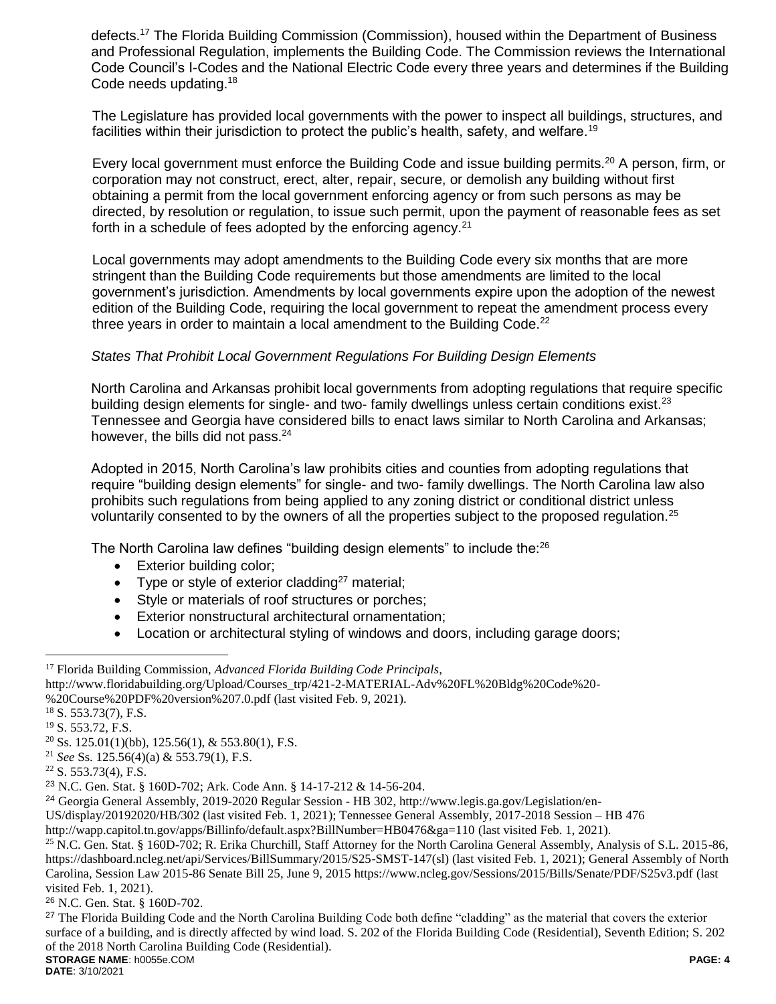defects.<sup>17</sup> The Florida Building Commission (Commission), housed within the Department of Business and Professional Regulation, implements the Building Code. The Commission reviews the International Code Council's I-Codes and the National Electric Code every three years and determines if the Building Code needs updating.<sup>18</sup>

The Legislature has provided local governments with the power to inspect all buildings, structures, and facilities within their jurisdiction to protect the public's health, safety, and welfare.<sup>19</sup>

Every local government must enforce the Building Code and issue building permits.<sup>20</sup> A person, firm, or corporation may not construct, erect, alter, repair, secure, or demolish any building without first obtaining a permit from the local government enforcing agency or from such persons as may be directed, by resolution or regulation, to issue such permit, upon the payment of reasonable fees as set forth in a schedule of fees adopted by the enforcing agency.  $21$ 

Local governments may adopt amendments to the Building Code every six months that are more stringent than the Building Code requirements but those amendments are limited to the local government's jurisdiction. Amendments by local governments expire upon the adoption of the newest edition of the Building Code, requiring the local government to repeat the amendment process every three years in order to maintain a local amendment to the Building Code.<sup>22</sup>

### *States That Prohibit Local Government Regulations For Building Design Elements*

North Carolina and Arkansas prohibit local governments from adopting regulations that require specific building design elements for single- and two- family dwellings unless certain conditions exist.<sup>23</sup> Tennessee and Georgia have considered bills to enact laws similar to North Carolina and Arkansas; however, the bills did not pass.<sup>24</sup>

Adopted in 2015, North Carolina's law prohibits cities and counties from adopting regulations that require "building design elements" for single- and two- family dwellings. The North Carolina law also prohibits such regulations from being applied to any zoning district or conditional district unless voluntarily consented to by the owners of all the properties subject to the proposed regulation.<sup>25</sup>

The North Carolina law defines "building design elements" to include the:<sup>26</sup>

- Exterior building color;
- Type or style of exterior cladding<sup>27</sup> material;
- Style or materials of roof structures or porches;
- Exterior nonstructural architectural ornamentation;
- Location or architectural styling of windows and doors, including garage doors;

 $\overline{a}$ 

US/display/20192020/HB/302 (last visited Feb. 1, 2021); Tennessee General Assembly, 2017-2018 Session – HB 476

**DATE**: 3/10/2021

<sup>17</sup> Florida Building Commission, *Advanced Florida Building Code Principals*,

http://www.floridabuilding.org/Upload/Courses\_trp/421-2-MATERIAL-Adv%20FL%20Bldg%20Code%20-

<sup>%20</sup>Course%20PDF%20version%207.0.pdf (last visited Feb. 9, 2021).

<sup>18</sup> S. 553.73(7), F.S.

<sup>19</sup> S. 553.72, F.S.

 $20$  Ss. 125.01(1)(bb), 125.56(1), & 553.80(1), F.S.

<sup>21</sup> *See* Ss. 125.56(4)(a) & 553.79(1), F.S.

 $22$  S. 553.73(4), F.S.

<sup>23</sup> N.C. Gen. Stat. § 160D-702; Ark. Code Ann. § 14-17-212 & 14-56-204.

<sup>24</sup> Georgia General Assembly, 2019-2020 Regular Session - HB 302, http://www.legis.ga.gov/Legislation/en-

http://wapp.capitol.tn.gov/apps/Billinfo/default.aspx?BillNumber=HB0476&ga=110 (last visited Feb. 1, 2021).

<sup>&</sup>lt;sup>25</sup> N.C. Gen. Stat. § 160D-702; R. Erika Churchill, Staff Attorney for the North Carolina General Assembly, Analysis of S.L. 2015-86, https://dashboard.ncleg.net/api/Services/BillSummary/2015/S25-SMST-147(sl) (last visited Feb. 1, 2021); General Assembly of North Carolina, Session Law 2015-86 Senate Bill 25, June 9, 2015 https://www.ncleg.gov/Sessions/2015/Bills/Senate/PDF/S25v3.pdf (last visited Feb. 1, 2021).

<sup>26</sup> N.C. Gen. Stat. § 160D-702.

**STORAGE NAME**: h0055e.COM **PAGE: 4** <sup>27</sup> The Florida Building Code and the North Carolina Building Code both define "cladding" as the material that covers the exterior surface of a building, and is directly affected by wind load. S. 202 of the Florida Building Code (Residential), Seventh Edition; S. 202 of the 2018 North Carolina Building Code (Residential).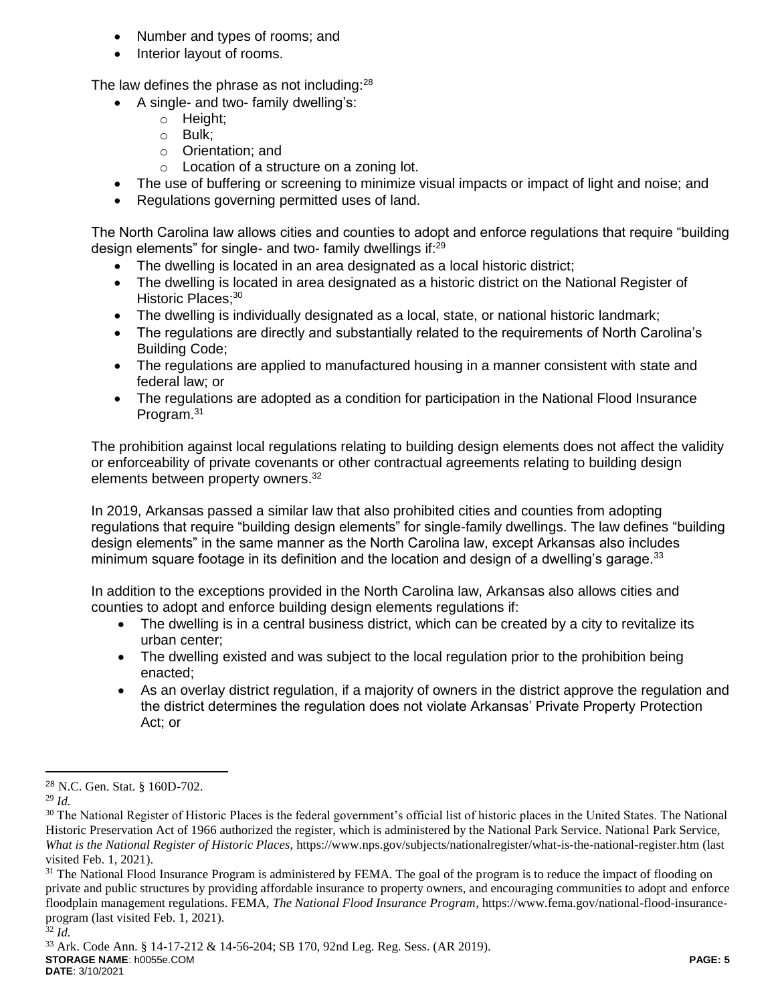- Number and types of rooms; and
- Interior layout of rooms.

The law defines the phrase as not including: $^{28}$ 

- A single- and two- family dwelling's:
	- o Height;
	- o Bulk;
	- o Orientation; and
	- o Location of a structure on a zoning lot.
- The use of buffering or screening to minimize visual impacts or impact of light and noise; and
- Regulations governing permitted uses of land.

The North Carolina law allows cities and counties to adopt and enforce regulations that require "building design elements" for single- and two- family dwellings if:<sup>29</sup>

- The dwelling is located in an area designated as a local historic district;
- The dwelling is located in area designated as a historic district on the National Register of Historic Places:<sup>30</sup>
- The dwelling is individually designated as a local, state, or national historic landmark;
- The regulations are directly and substantially related to the requirements of North Carolina's Building Code;
- The regulations are applied to manufactured housing in a manner consistent with state and federal law; or
- The regulations are adopted as a condition for participation in the National Flood Insurance Program.<sup>31</sup>

The prohibition against local regulations relating to building design elements does not affect the validity or enforceability of private covenants or other contractual agreements relating to building design elements between property owners.<sup>32</sup>

In 2019, Arkansas passed a similar law that also prohibited cities and counties from adopting regulations that require "building design elements" for single-family dwellings. The law defines "building design elements" in the same manner as the North Carolina law, except Arkansas also includes minimum square footage in its definition and the location and design of a dwelling's garage. $33$ 

In addition to the exceptions provided in the North Carolina law, Arkansas also allows cities and counties to adopt and enforce building design elements regulations if:

- The dwelling is in a central business district, which can be created by a city to revitalize its urban center;
- The dwelling existed and was subject to the local regulation prior to the prohibition being enacted;
- As an overlay district regulation, if a majority of owners in the district approve the regulation and the district determines the regulation does not violate Arkansas' Private Property Protection Act; or

 $\overline{a}$ 

<sup>28</sup> N.C. Gen. Stat. § 160D-702.

<sup>29</sup> *Id.*

<sup>&</sup>lt;sup>30</sup> The National Register of Historic Places is the federal government's official list of historic places in the United States. The National Historic Preservation Act of 1966 authorized the register, which is administered by the National Park Service. National Park Service, *What is the National Register of Historic Places*, https://www.nps.gov/subjects/nationalregister/what-is-the-national-register.htm (last visited Feb. 1, 2021).

<sup>&</sup>lt;sup>31</sup> The National Flood Insurance Program is administered by FEMA. The goal of the program is to reduce the impact of flooding on private and public structures by providing affordable insurance to property owners, and encouraging communities to adopt and enforce floodplain management regulations. FEMA, *The National Flood Insurance Program*, https://www.fema.gov/national-flood-insuranceprogram (last visited Feb. 1, 2021).

<sup>32</sup> *Id.*

**STORAGE NAME**: h0055e.COM **PAGE: 5 DATE**: 3/10/2021 <sup>33</sup> Ark. Code Ann. § 14-17-212 & 14-56-204; SB 170, 92nd Leg. Reg. Sess. (AR 2019).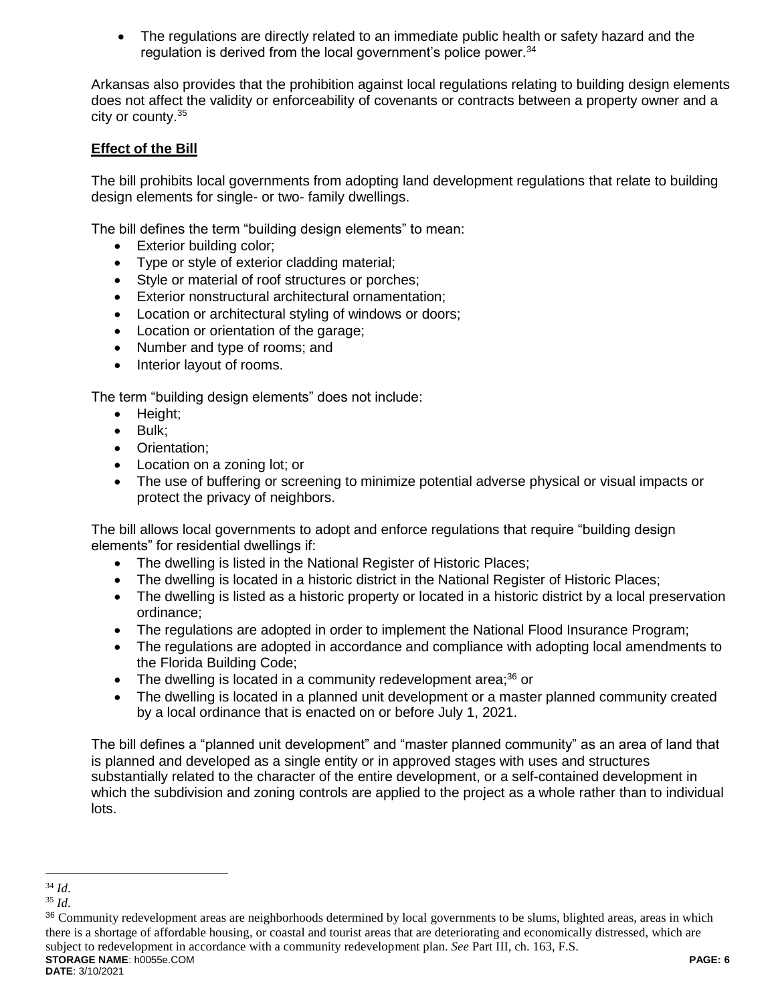The regulations are directly related to an immediate public health or safety hazard and the regulation is derived from the local government's police power.<sup>34</sup>

Arkansas also provides that the prohibition against local regulations relating to building design elements does not affect the validity or enforceability of covenants or contracts between a property owner and a city or county.<sup>35</sup>

# **Effect of the Bill**

The bill prohibits local governments from adopting land development regulations that relate to building design elements for single- or two- family dwellings.

The bill defines the term "building design elements" to mean:

- Exterior building color;
- Type or style of exterior cladding material;
- Style or material of roof structures or porches;
- Exterior nonstructural architectural ornamentation;
- Location or architectural styling of windows or doors;
- Location or orientation of the garage;
- Number and type of rooms; and
- Interior layout of rooms.

The term "building design elements" does not include:

- Height:
- $\bullet$  Bulk;
- Orientation:
- Location on a zoning lot; or
- The use of buffering or screening to minimize potential adverse physical or visual impacts or protect the privacy of neighbors.

The bill allows local governments to adopt and enforce regulations that require "building design elements" for residential dwellings if:

- The dwelling is listed in the National Register of Historic Places;
- The dwelling is located in a historic district in the National Register of Historic Places;
- The dwelling is listed as a historic property or located in a historic district by a local preservation ordinance;
- The regulations are adopted in order to implement the National Flood Insurance Program;
- The regulations are adopted in accordance and compliance with adopting local amendments to the Florida Building Code;
- The dwelling is located in a community redevelopment area;<sup>36</sup> or
- The dwelling is located in a planned unit development or a master planned community created by a local ordinance that is enacted on or before July 1, 2021.

The bill defines a "planned unit development" and "master planned community" as an area of land that is planned and developed as a single entity or in approved stages with uses and structures substantially related to the character of the entire development, or a self-contained development in which the subdivision and zoning controls are applied to the project as a whole rather than to individual lots.

 $\overline{a}$ <sup>34</sup> *Id*.

<sup>35</sup> *Id*.

**STORAGE NAME**: h0055e.COM **PAGE: 6** <sup>36</sup> Community redevelopment areas are neighborhoods determined by local governments to be slums, blighted areas, areas in which there is a shortage of affordable housing, or coastal and tourist areas that are deteriorating and economically distressed, which are subject to redevelopment in accordance with a community redevelopment plan. *See* Part III, ch. 163, F.S.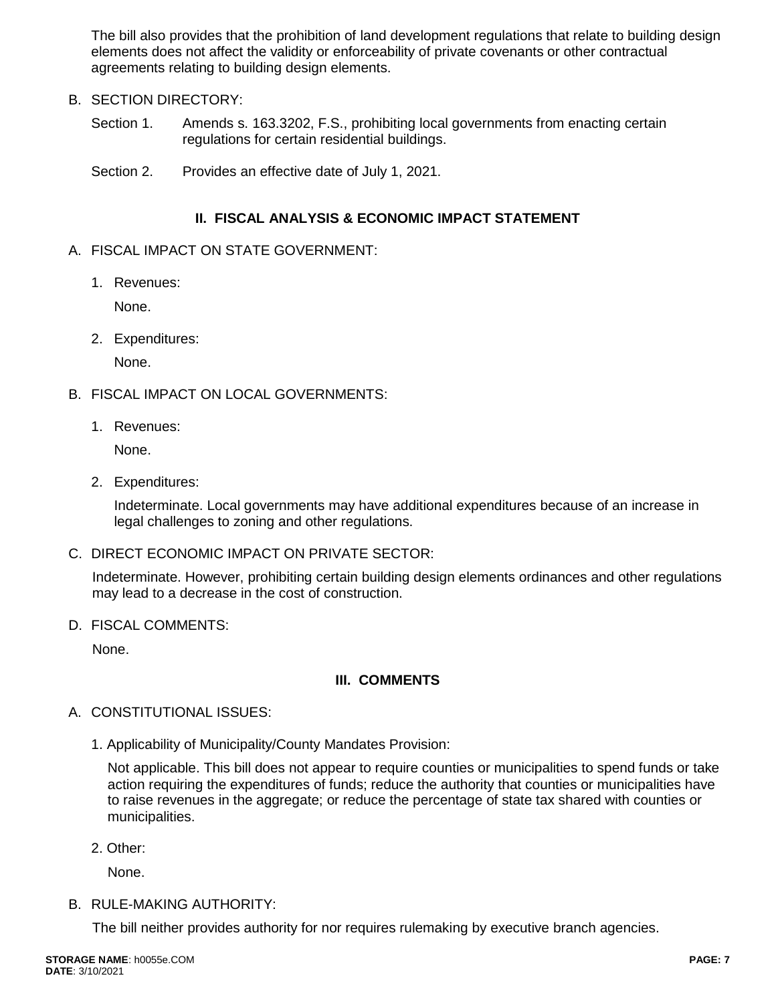The bill also provides that the prohibition of land development regulations that relate to building design elements does not affect the validity or enforceability of private covenants or other contractual agreements relating to building design elements.

## B. SECTION DIRECTORY:

Section 1. Amends s. 163.3202, F.S., prohibiting local governments from enacting certain regulations for certain residential buildings.

Section 2. Provides an effective date of July 1, 2021.

# **II. FISCAL ANALYSIS & ECONOMIC IMPACT STATEMENT**

## A. FISCAL IMPACT ON STATE GOVERNMENT:

1. Revenues:

None.

2. Expenditures:

None.

- B. FISCAL IMPACT ON LOCAL GOVERNMENTS:
	- 1. Revenues:

None.

2. Expenditures:

Indeterminate. Local governments may have additional expenditures because of an increase in legal challenges to zoning and other regulations.

C. DIRECT ECONOMIC IMPACT ON PRIVATE SECTOR:

Indeterminate. However, prohibiting certain building design elements ordinances and other regulations may lead to a decrease in the cost of construction.

D. FISCAL COMMENTS:

None.

# **III. COMMENTS**

- A. CONSTITUTIONAL ISSUES:
	- 1. Applicability of Municipality/County Mandates Provision:

Not applicable. This bill does not appear to require counties or municipalities to spend funds or take action requiring the expenditures of funds; reduce the authority that counties or municipalities have to raise revenues in the aggregate; or reduce the percentage of state tax shared with counties or municipalities.

2. Other:

None.

B. RULE-MAKING AUTHORITY:

The bill neither provides authority for nor requires rulemaking by executive branch agencies.